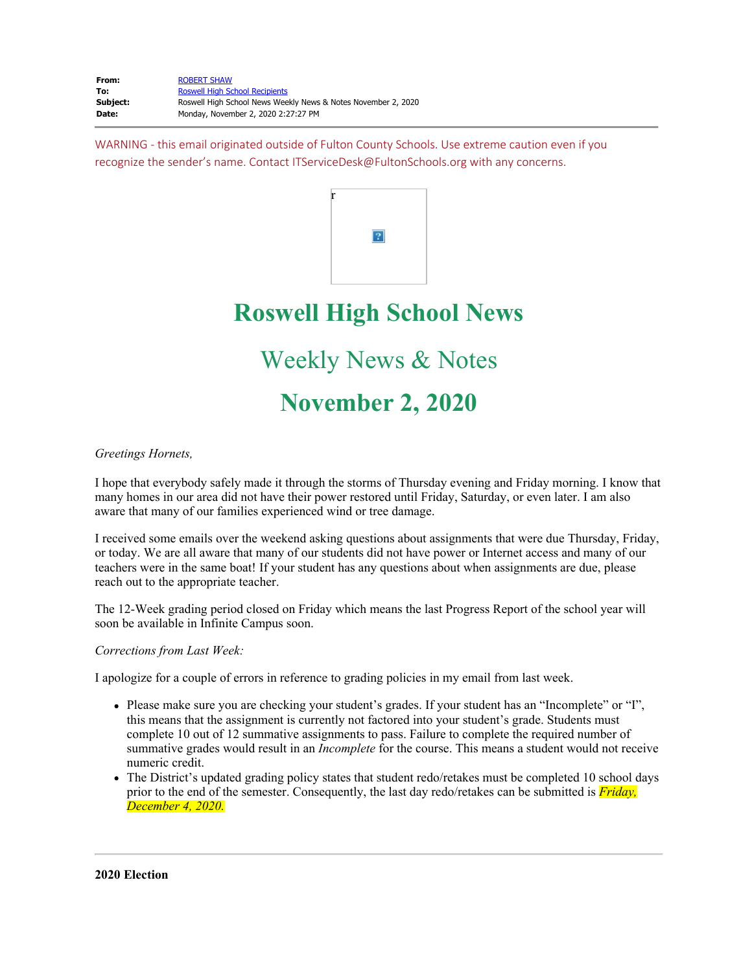WARNING - this email originated outside of Fulton County Schools. Use extreme caution even if you recognize the sender's name. Contact ITServiceDesk@FultonSchools.org with any concerns.



# **Roswell High School News**

# Weekly News & Notes

# **November 2, 2020**

## *Greetings Hornets,*

I hope that everybody safely made it through the storms of Thursday evening and Friday morning. I know that many homes in our area did not have their power restored until Friday, Saturday, or even later. I am also aware that many of our families experienced wind or tree damage.

I received some emails over the weekend asking questions about assignments that were due Thursday, Friday, or today. We are all aware that many of our students did not have power or Internet access and many of our teachers were in the same boat! If your student has any questions about when assignments are due, please reach out to the appropriate teacher.

The 12-Week grading period closed on Friday which means the last Progress Report of the school year will soon be available in Infinite Campus soon.

## *Corrections from Last Week:*

I apologize for a couple of errors in reference to grading policies in my email from last week.

- Please make sure you are checking your student's grades. If your student has an "Incomplete" or "I", this means that the assignment is currently not factored into your student's grade. Students must complete 10 out of 12 summative assignments to pass. Failure to complete the required number of summative grades would result in an *Incomplete* for the course. This means a student would not receive numeric credit.
- The District's updated grading policy states that student redo/retakes must be completed 10 school days prior to the end of the semester. Consequently, the last day redo/retakes can be submitted is *Friday, December 4, 2020.*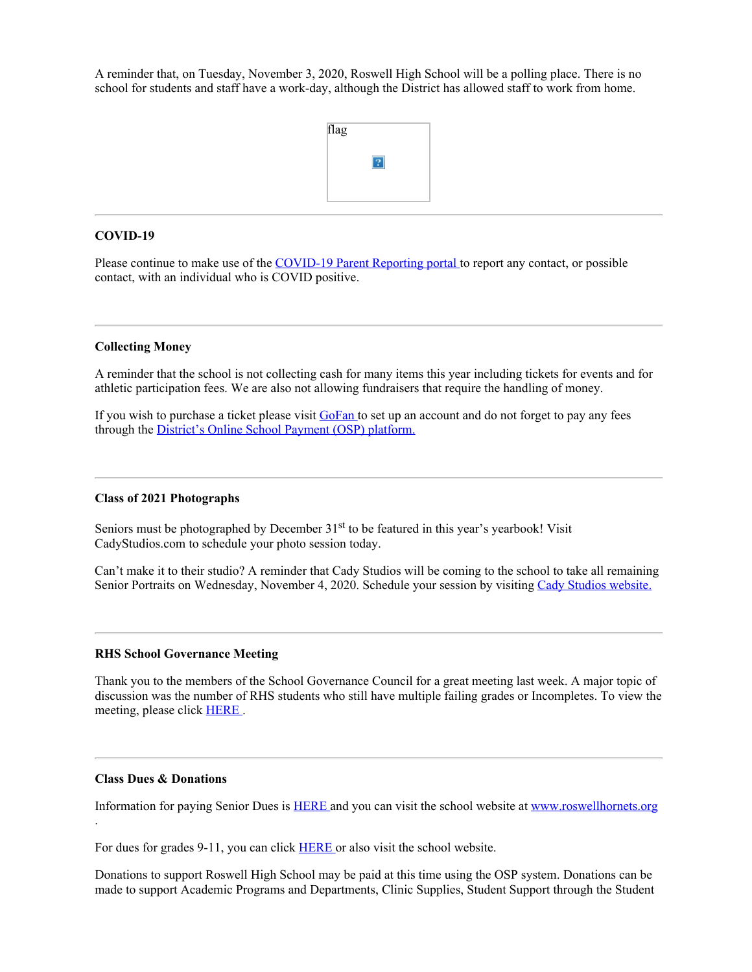A reminder that, on Tuesday, November 3, 2020, Roswell High School will be a polling place. There is no school for students and staff have a work-day, although the District has allowed staff to work from home.



#### **COVID-19**

Please continue to make use of the [COVID-19](https://nam03.safelinks.protection.outlook.com/?url=https%3A%2F%2Ffultonschools.az1.qualtrics.com%2Fjfe%2Fform%2FSV_6hWlX46FNk8pNlz&data=04%7C01%7Cmurphys%40fultonschools.org%7Ce39b4980f7e0410c0dfa08d87f655140%7C0cdcb19881694b70ba9fda7e3ba700c2%7C1%7C0%7C637399420463422708%7CUnknown%7CTWFpbGZsb3d8eyJWIjoiMC4wLjAwMDAiLCJQIjoiV2luMzIiLCJBTiI6Ik1haWwiLCJXVCI6Mn0%3D%7C1000&sdata=v7zxshdYqGcBfiQHsTIsTHEkYJVoSmo3XMZb0AuB9k8%3D&reserved=0) Parent Reporting portal to report any contact, or possible contact, with an individual who is COVID positive.

#### **Collecting Money**

A reminder that the school is not collecting cash for many items this year including tickets for events and for athletic participation fees. We are also not allowing fundraisers that require the handling of money.

If you wish to purchase a ticket please visit [GoFan](https://nam03.safelinks.protection.outlook.com/?url=https%3A%2F%2Fgofan.co%2Fapp%2Fschool%2FGA5282&data=04%7C01%7Cmurphys%40fultonschools.org%7Ce39b4980f7e0410c0dfa08d87f655140%7C0cdcb19881694b70ba9fda7e3ba700c2%7C1%7C0%7C637399420463432707%7CUnknown%7CTWFpbGZsb3d8eyJWIjoiMC4wLjAwMDAiLCJQIjoiV2luMzIiLCJBTiI6Ik1haWwiLCJXVCI6Mn0%3D%7C1000&sdata=ahSzZKFwBSsKWZD5CJYrUQQwsaLPE5ZQBW7Xg2vXbFw%3D&reserved=0) to set up an account and do not forget to pay any fees through the *[District's](https://nam03.safelinks.protection.outlook.com/?url=https%3A%2F%2Fosp.osmsinc.com%2FFultonGA%2FBVModules%2FCategoryTemplates%2FDetailed%2520List%2520with%2520Properties%2FCategory.aspx%3Fcategoryid%3DEN710&data=04%7C01%7Cmurphys%40fultonschools.org%7Ce39b4980f7e0410c0dfa08d87f655140%7C0cdcb19881694b70ba9fda7e3ba700c2%7C1%7C0%7C637399420463432707%7CUnknown%7CTWFpbGZsb3d8eyJWIjoiMC4wLjAwMDAiLCJQIjoiV2luMzIiLCJBTiI6Ik1haWwiLCJXVCI6Mn0%3D%7C1000&sdata=lLFWo%2F8Lxl7Tlx68StXU3%2FhqoPTf8J9i0slSSVU2F8Q%3D&reserved=0) Online School Payment (OSP)* platform.

#### **Class of 2021 Photographs**

Seniors must be photographed by December  $31<sup>st</sup>$  to be featured in this year's yearbook! Visit CadyStudios.com to schedule your photo session today.

Can't make it to their studio? A reminder that Cady Studios will be coming to the school to take all remaining Senior Portraits on Wednesday, November 4, 2020. Schedule your session by visiting Cady Studios [website.](https://nam03.safelinks.protection.outlook.com/?url=https%3A%2F%2Fstore.cady.com%2F%3Futm_source%3Dmarketing%26utm_medium%3Dprint%26utm_content%3Dsenior_sessions_booking_magazine_2021%26utm_campaign%3Dsenior_sessions_booking&data=04%7C01%7Cmurphys%40fultonschools.org%7Ce39b4980f7e0410c0dfa08d87f655140%7C0cdcb19881694b70ba9fda7e3ba700c2%7C1%7C0%7C637399420463442702%7CUnknown%7CTWFpbGZsb3d8eyJWIjoiMC4wLjAwMDAiLCJQIjoiV2luMzIiLCJBTiI6Ik1haWwiLCJXVCI6Mn0%3D%7C1000&sdata=%2BJSC0wW7toUKOatvVxApE3nxs%2BIyn0zF709i%2Fg0b8x0%3D&reserved=0)

#### **RHS School Governance Meeting**

Thank you to the members of the School Governance Council for a great meeting last week. A major topic of discussion was the number of RHS students who still have multiple failing grades or Incompletes. To view the meeting, please click [HERE](https://nam03.safelinks.protection.outlook.com/?url=https%3A%2F%2Fyoutu.be%2F9vJwSaCu2z0&data=04%7C01%7Cmurphys%40fultonschools.org%7Ce39b4980f7e0410c0dfa08d87f655140%7C0cdcb19881694b70ba9fda7e3ba700c2%7C1%7C0%7C637399420463442702%7CUnknown%7CTWFpbGZsb3d8eyJWIjoiMC4wLjAwMDAiLCJQIjoiV2luMzIiLCJBTiI6Ik1haWwiLCJXVCI6Mn0%3D%7C1000&sdata=QbuHSr7RrI6SNo2MmkCqOFFpSehMB4aBMhr1sg73S1Q%3D&reserved=0) .

#### **Class Dues & Donations**

.

Information for paying Senior Dues is [HERE](https://www.fultonschools.org/Page/21609) and you can visit the school website at [www.roswellhornets.org](https://nam03.safelinks.protection.outlook.com/?url=http%3A%2F%2Fwww.roswellhornets.org%2F&data=04%7C01%7Cmurphys%40fultonschools.org%7Ce39b4980f7e0410c0dfa08d87f655140%7C0cdcb19881694b70ba9fda7e3ba700c2%7C1%7C0%7C637399420463452694%7CUnknown%7CTWFpbGZsb3d8eyJWIjoiMC4wLjAwMDAiLCJQIjoiV2luMzIiLCJBTiI6Ik1haWwiLCJXVCI6Mn0%3D%7C1000&sdata=6MrWshkP%2FCPdfiAtwsTpcDtZbPCuFLjwXRLRU1mviS0%3D&reserved=0)

For dues for grades 9-11, you can click **[HERE](https://www.fultonschools.org/Page/22069)** or also visit the school website.

Donations to support Roswell High School may be paid at this time using the OSP system. Donations can be made to support Academic Programs and Departments, Clinic Supplies, Student Support through the Student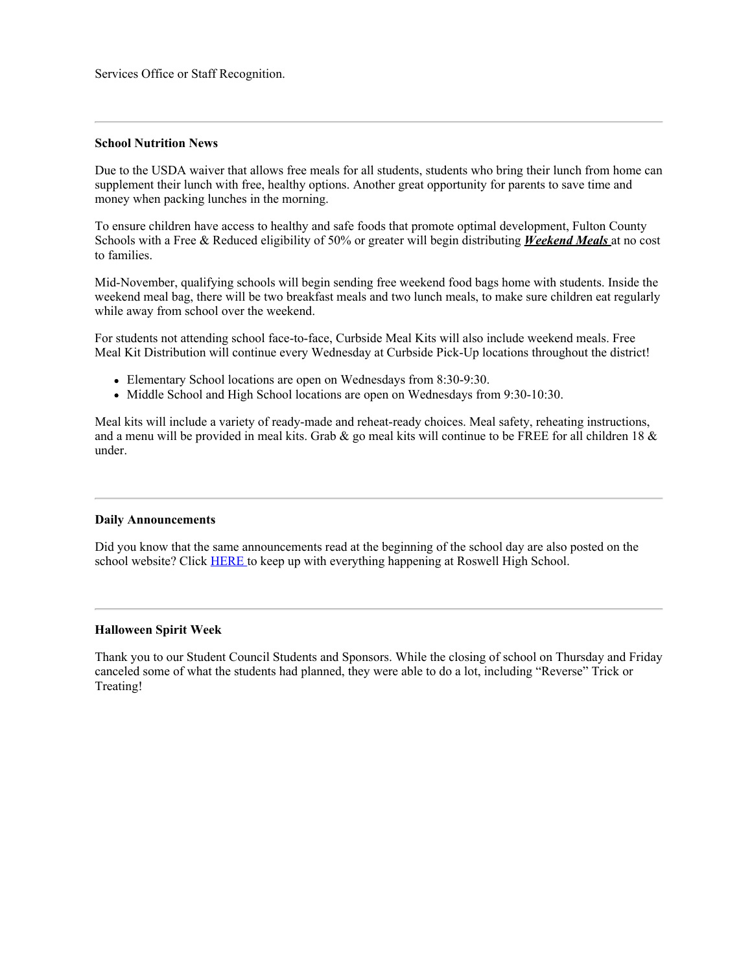Services Office or Staff Recognition.

#### **School Nutrition News**

Due to the USDA waiver that allows free meals for all students, students who bring their lunch from home can supplement their lunch with free, healthy options. Another great opportunity for parents to save time and money when packing lunches in the morning.

To ensure children have access to healthy and safe foods that promote optimal development, Fulton County Schools with a Free & Reduced eligibility of 50% or greater will begin distributing *Weekend Meals* at no cost to families.

Mid-November, qualifying schools will begin sending free weekend food bags home with students. Inside the weekend meal bag, there will be two breakfast meals and two lunch meals, to make sure children eat regularly while away from school over the weekend.

For students not attending school face-to-face, Curbside Meal Kits will also include weekend meals. Free Meal Kit Distribution will continue every Wednesday at Curbside Pick-Up locations throughout the district!

- Elementary School locations are open on Wednesdays from 8:30-9:30.
- Middle School and High School locations are open on Wednesdays from 9:30-10:30.

Meal kits will include a variety of ready-made and reheat-ready choices. Meal safety, reheating instructions, and a menu will be provided in meal kits. Grab & go meal kits will continue to be FREE for all children 18  $\&$ under.

#### **Daily Announcements**

Did you know that the same announcements read at the beginning of the school day are also posted on the school website? Click [HERE](https://www.fultonschools.org/Page/16758) to keep up with everything happening at Roswell High School.

#### **Halloween Spirit Week**

Thank you to our Student Council Students and Sponsors. While the closing of school on Thursday and Friday canceled some of what the students had planned, they were able to do a lot, including "Reverse" Trick or Treating!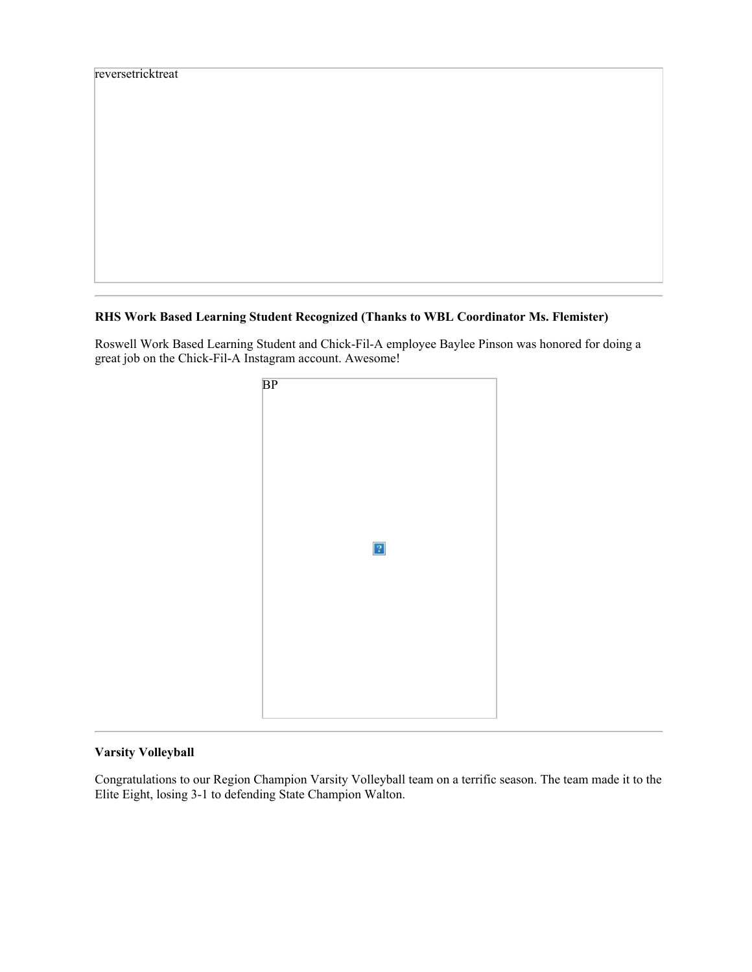| reversetricktreat |  |  |
|-------------------|--|--|
|                   |  |  |
|                   |  |  |
|                   |  |  |
|                   |  |  |
|                   |  |  |
|                   |  |  |
|                   |  |  |
|                   |  |  |
|                   |  |  |
|                   |  |  |
|                   |  |  |
|                   |  |  |
|                   |  |  |
|                   |  |  |
|                   |  |  |
|                   |  |  |

# **RHS Work Based Learning Student Recognized (Thanks to WBL Coordinator Ms. Flemister)**

Roswell Work Based Learning Student and Chick-Fil-A employee Baylee Pinson was honored for doing a great job on the Chick-Fil-A Instagram account. Awesome!



# **Varsity Volleyball**

Congratulations to our Region Champion Varsity Volleyball team on a terrific season. The team made it to the Elite Eight, losing 3-1 to defending State Champion Walton.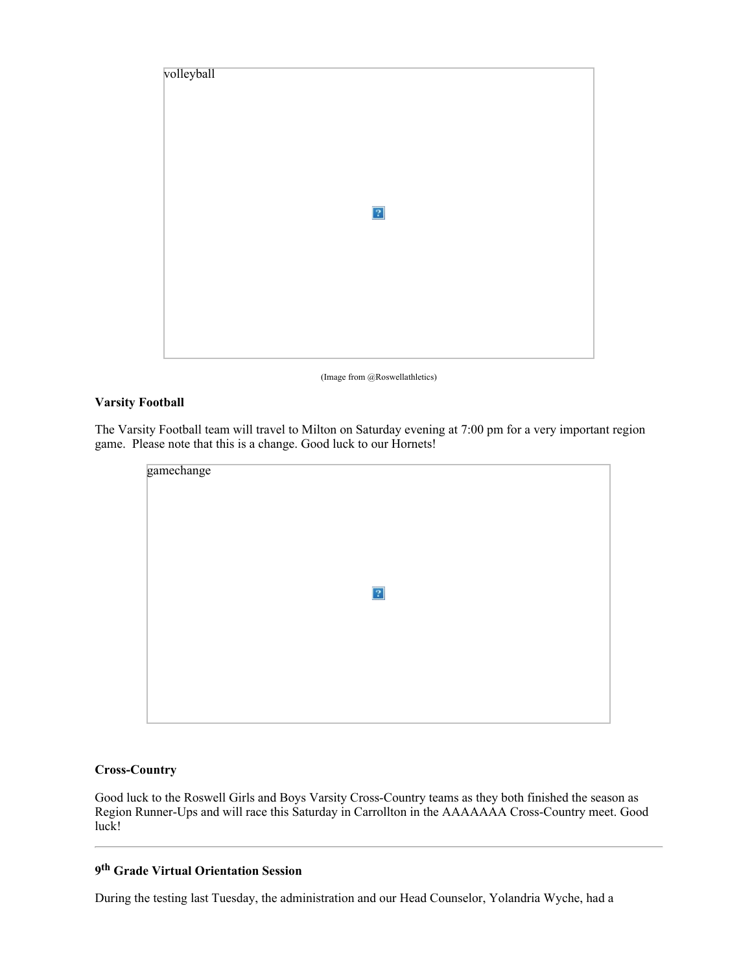

(Image from @Roswellathletics)

## **Varsity Football**

The Varsity Football team will travel to Milton on Saturday evening at 7:00 pm for a very important region game. Please note that this is a change. Good luck to our Hornets!

| gamechange |           |  |
|------------|-----------|--|
|            |           |  |
|            | $\vert$ ? |  |
|            |           |  |
|            |           |  |

## **Cross-Country**

Good luck to the Roswell Girls and Boys Varsity Cross-Country teams as they both finished the season as Region Runner-Ups and will race this Saturday in Carrollton in the AAAAAAA Cross-Country meet. Good luck!

# **9th Grade Virtual Orientation Session**

During the testing last Tuesday, the administration and our Head Counselor, Yolandria Wyche, had a